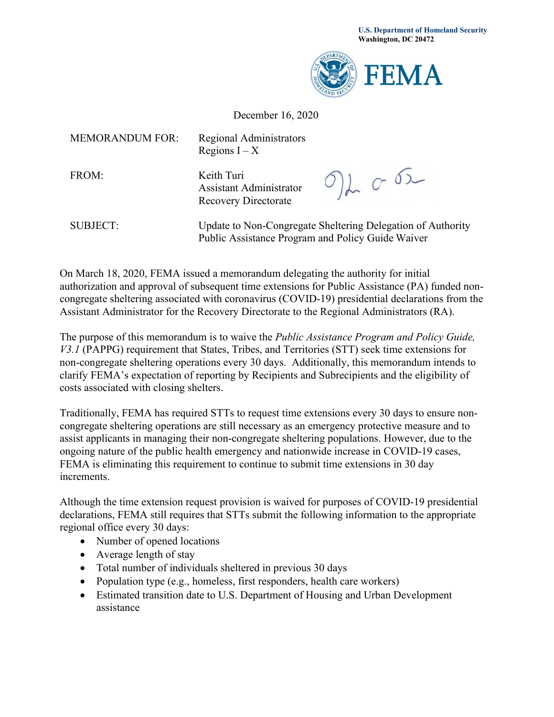

## December 16, 2020

| <b>MEMORANDUM FOR:</b> | <b>Regional Administrators</b><br>Regions $I - X$                                                                |               |
|------------------------|------------------------------------------------------------------------------------------------------------------|---------------|
| FROM:                  | Keith Turi<br>Assistant Administrator<br><b>Recovery Directorate</b>                                             | $O$ ) for $O$ |
| <b>SUBJECT:</b>        | Update to Non-Congregate Sheltering Delegation of Authority<br>Public Assistance Program and Policy Guide Waiver |               |

On March 18, 2020, FEMA issued a memorandum delegating the authority for initial authorization and approval of subsequent time extensions for Public Assistance (PA) funded noncongregate sheltering associated with coronavirus (COVID-19) presidential declarations from the Assistant Administrator for the Recovery Directorate to the Regional Administrators (RA).

The purpose of this memorandum is to waive the *Public Assistance Program and Policy Guide, V3.1* (PAPPG) requirement that States, Tribes, and Territories (STT) seek time extensions for non-congregate sheltering operations every 30 days. Additionally, this memorandum intends to clarify FEMA's expectation of reporting by Recipients and Subrecipients and the eligibility of costs associated with closing shelters.

Traditionally, FEMA has required STTs to request time extensions every 30 days to ensure noncongregate sheltering operations are still necessary as an emergency protective measure and to assist applicants in managing their non-congregate sheltering populations. However, due to the ongoing nature of the public health emergency and nationwide increase in COVID-19 cases, FEMA is eliminating this requirement to continue to submit time extensions in 30 day increments.

Although the time extension request provision is waived for purposes of COVID-19 presidential declarations, FEMA still requires that STTs submit the following information to the appropriate regional office every 30 days:

- Number of opened locations
- Average length of stay
- Total number of individuals sheltered in previous 30 days
- Population type (e.g., homeless, first responders, health care workers)
- Estimated transition date to U.S. Department of Housing and Urban Development assistance